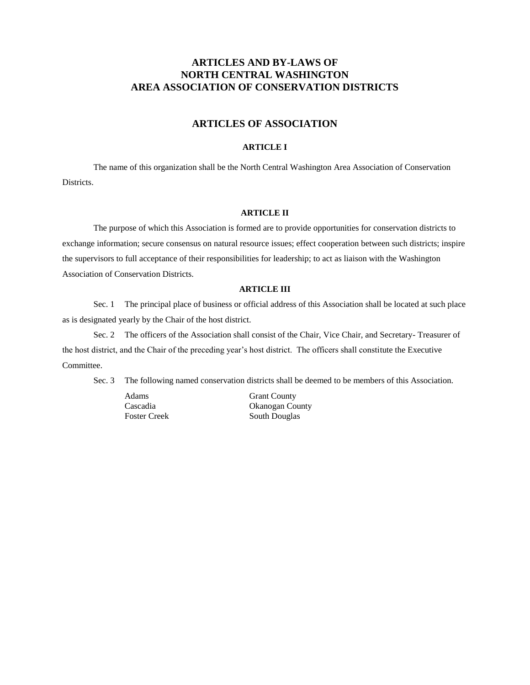# **ARTICLES AND BY-LAWS OF NORTH CENTRAL WASHINGTON AREA ASSOCIATION OF CONSERVATION DISTRICTS**

# **ARTICLES OF ASSOCIATION**

## **ARTICLE I**

The name of this organization shall be the North Central Washington Area Association of Conservation Districts.

## **ARTICLE II**

The purpose of which this Association is formed are to provide opportunities for conservation districts to exchange information; secure consensus on natural resource issues; effect cooperation between such districts; inspire the supervisors to full acceptance of their responsibilities for leadership; to act as liaison with the Washington Association of Conservation Districts.

## **ARTICLE III**

Sec. 1 The principal place of business or official address of this Association shall be located at such place as is designated yearly by the Chair of the host district.

Sec. 2 The officers of the Association shall consist of the Chair, Vice Chair, and Secretary- Treasurer of the host district, and the Chair of the preceding year's host district. The officers shall constitute the Executive Committee.

Sec. 3 The following named conservation districts shall be deemed to be members of this Association.

Adams Grant County

Cascadia Okanogan County Foster Creek South Douglas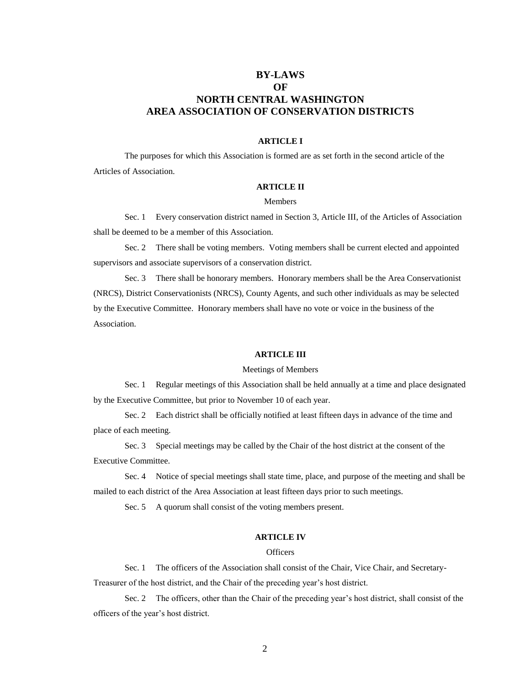# **BY-LAWS OF NORTH CENTRAL WASHINGTON AREA ASSOCIATION OF CONSERVATION DISTRICTS**

#### **ARTICLE I**

The purposes for which this Association is formed are as set forth in the second article of the Articles of Association.

# **ARTICLE II**

## Members

Sec. 1 Every conservation district named in Section 3, Article III, of the Articles of Association shall be deemed to be a member of this Association.

Sec. 2 There shall be voting members. Voting members shall be current elected and appointed supervisors and associate supervisors of a conservation district.

Sec. 3 There shall be honorary members. Honorary members shall be the Area Conservationist (NRCS), District Conservationists (NRCS), County Agents, and such other individuals as may be selected by the Executive Committee. Honorary members shall have no vote or voice in the business of the Association.

#### **ARTICLE III**

#### Meetings of Members

Sec. 1 Regular meetings of this Association shall be held annually at a time and place designated by the Executive Committee, but prior to November 10 of each year.

Sec. 2 Each district shall be officially notified at least fifteen days in advance of the time and place of each meeting.

Sec. 3 Special meetings may be called by the Chair of the host district at the consent of the Executive Committee.

Sec. 4 Notice of special meetings shall state time, place, and purpose of the meeting and shall be mailed to each district of the Area Association at least fifteen days prior to such meetings.

Sec. 5 A quorum shall consist of the voting members present.

#### **ARTICLE IV**

## **Officers**

Sec. 1 The officers of the Association shall consist of the Chair, Vice Chair, and Secretary-

Treasurer of the host district, and the Chair of the preceding year's host district.

Sec. 2 The officers, other than the Chair of the preceding year's host district, shall consist of the officers of the year's host district.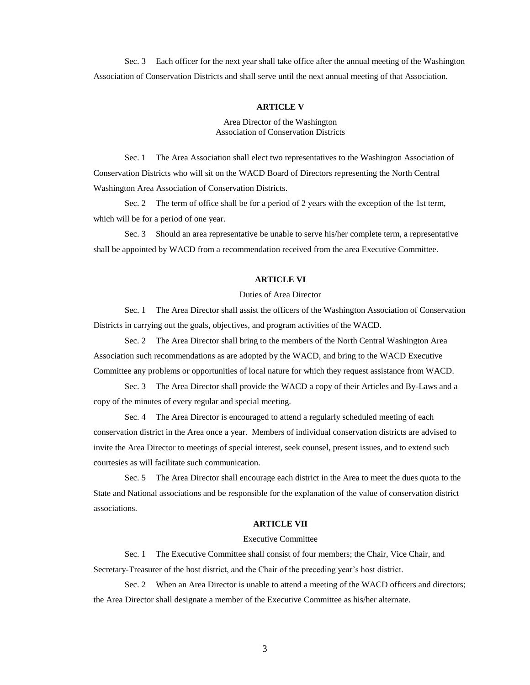Sec. 3 Each officer for the next year shall take office after the annual meeting of the Washington Association of Conservation Districts and shall serve until the next annual meeting of that Association.

#### **ARTICLE V**

#### Area Director of the Washington Association of Conservation Districts

Sec. 1 The Area Association shall elect two representatives to the Washington Association of Conservation Districts who will sit on the WACD Board of Directors representing the North Central Washington Area Association of Conservation Districts.

Sec. 2 The term of office shall be for a period of 2 years with the exception of the 1st term, which will be for a period of one year.

Sec. 3 Should an area representative be unable to serve his/her complete term, a representative shall be appointed by WACD from a recommendation received from the area Executive Committee.

#### **ARTICLE VI**

## Duties of Area Director

Sec. 1 The Area Director shall assist the officers of the Washington Association of Conservation Districts in carrying out the goals, objectives, and program activities of the WACD.

Sec. 2 The Area Director shall bring to the members of the North Central Washington Area Association such recommendations as are adopted by the WACD, and bring to the WACD Executive Committee any problems or opportunities of local nature for which they request assistance from WACD.

Sec. 3 The Area Director shall provide the WACD a copy of their Articles and By-Laws and a copy of the minutes of every regular and special meeting.

Sec. 4 The Area Director is encouraged to attend a regularly scheduled meeting of each conservation district in the Area once a year. Members of individual conservation districts are advised to invite the Area Director to meetings of special interest, seek counsel, present issues, and to extend such courtesies as will facilitate such communication.

Sec. 5 The Area Director shall encourage each district in the Area to meet the dues quota to the State and National associations and be responsible for the explanation of the value of conservation district associations.

## **ARTICLE VII**

#### Executive Committee

Sec. 1 The Executive Committee shall consist of four members; the Chair, Vice Chair, and Secretary-Treasurer of the host district, and the Chair of the preceding year's host district.

Sec. 2 When an Area Director is unable to attend a meeting of the WACD officers and directors; the Area Director shall designate a member of the Executive Committee as his/her alternate.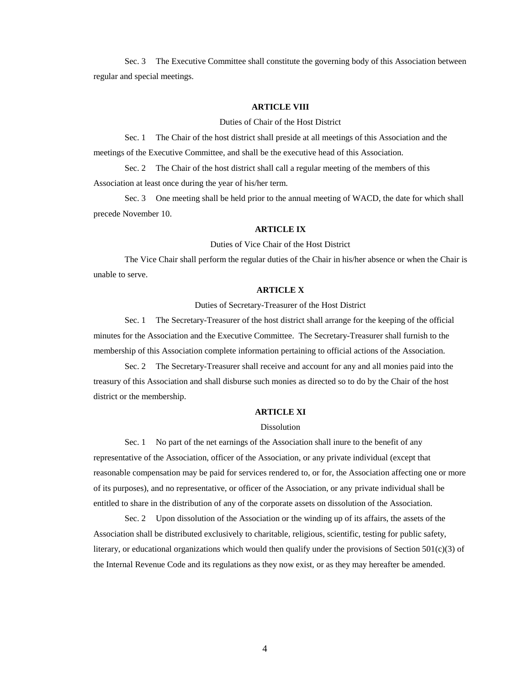Sec. 3 The Executive Committee shall constitute the governing body of this Association between regular and special meetings.

#### **ARTICLE VIII**

Duties of Chair of the Host District

Sec. 1 The Chair of the host district shall preside at all meetings of this Association and the meetings of the Executive Committee, and shall be the executive head of this Association.

Sec. 2 The Chair of the host district shall call a regular meeting of the members of this Association at least once during the year of his/her term.

Sec. 3 One meeting shall be held prior to the annual meeting of WACD, the date for which shall precede November 10.

## **ARTICLE IX**

Duties of Vice Chair of the Host District

The Vice Chair shall perform the regular duties of the Chair in his/her absence or when the Chair is unable to serve.

## **ARTICLE X**

Duties of Secretary-Treasurer of the Host District

Sec. 1 The Secretary-Treasurer of the host district shall arrange for the keeping of the official minutes for the Association and the Executive Committee. The Secretary-Treasurer shall furnish to the membership of this Association complete information pertaining to official actions of the Association.

Sec. 2 The Secretary-Treasurer shall receive and account for any and all monies paid into the treasury of this Association and shall disburse such monies as directed so to do by the Chair of the host district or the membership.

#### **ARTICLE XI**

## Dissolution

Sec. 1 No part of the net earnings of the Association shall inure to the benefit of any representative of the Association, officer of the Association, or any private individual (except that reasonable compensation may be paid for services rendered to, or for, the Association affecting one or more of its purposes), and no representative, or officer of the Association, or any private individual shall be entitled to share in the distribution of any of the corporate assets on dissolution of the Association.

Sec. 2 Upon dissolution of the Association or the winding up of its affairs, the assets of the Association shall be distributed exclusively to charitable, religious, scientific, testing for public safety, literary, or educational organizations which would then qualify under the provisions of Section  $501(c)(3)$  of the Internal Revenue Code and its regulations as they now exist, or as they may hereafter be amended.

4